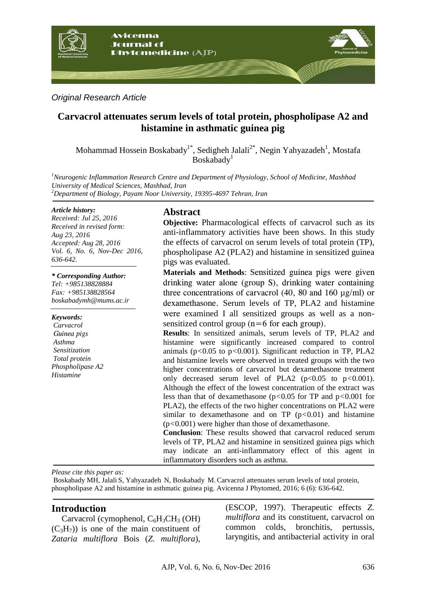

*Original Research Article*

# **Carvacrol attenuates serum levels of total protein, phospholipase A2 and histamine in asthmatic guinea pig**

Mohammad Hossein Boskabady<sup>1\*</sup>, Sedigheh Jalali<sup>2\*</sup>, Negin Yahyazadeh<sup>1</sup>, Mostafa  $B$ oskabady<sup>1</sup>

*<sup>1</sup>Neurogenic Inflammation Research Centre and Department of Physiology, School of Medicine, Mashhad University of Medical Sciences, Mashhad, Iran <sup>2</sup>Department of Biology, Payam Noor University, 19395-4697 Tehran, Iran*

#### *Article history:*

*Received: Jul 25, 2016 Received in revised form: Aug 23, 2016 Accepted: Aug 28, 2016 Vol. 6, No. 6, Nov-Dec 2016, 636-642.*

### *\* Corresponding Author:*

*Tel: +985138828884 Fax: +985138828564 boskabadymh@mums.ac.ir*

*Keywords: Carvacrol Guinea pigs Asthma Sensitization Total protein Phospholipase A2 Histamine*

## **Abstract**

**Objective:** Pharmacological effects of carvacrol such as its anti-inflammatory activities have been shows. In this study the effects of carvacrol on serum levels of total protein (TP), phospholipase A2 (PLA2) and histamine in sensitized guinea pigs was evaluated.

**Materials and Methods**: Sensitized guinea pigs were given drinking water alone (group S), drinking water containing three concentrations of carvacrol  $(40, 80$  and  $160 \mu g/ml)$  or dexamethasone. Serum levels of TP, PLA2 and histamine were examined I all sensitized groups as well as a nonsensitized control group  $(n=6$  for each group).

**Results**: In sensitized animals, serum levels of TP, PLA2 and histamine were significantly increased compared to control animals (p*<*0.05 to p*<*0.001). Significant reduction in TP, PLA2 and histamine levels were observed in treated groups with the two higher concentrations of carvacrol but dexamethasone treatment only decreased serum level of PLA2 (p<0.05 to p*<*0.001). Although the effect of the lowest concentration of the extract was less than that of dexamethasone (p*<*0.05 for TP and p*<*0.001 for PLA2), the effects of the two higher concentrations on PLA2 were similar to dexamethasone and on TP (p*<*0.01) and histamine (p*<*0.001) were higher than those of dexamethasone.

**Conclusion**: These results showed that carvacrol reduced serum levels of TP, PLA2 and histamine in sensitized guinea pigs which may indicate an anti-inflammatory effect of this agent in inflammatory disorders such as asthma.

*Please cite this paper as:* 

Boskabady MH, Jalali S, Yahyazadeh N, Boskabady M. Carvacrol attenuates serum levels of total protein, phospholipase A2 and histamine in asthmatic guinea pig. Avicenna J Phytomed, 2016; 6 (6): 636-642.

## **Introduction**

Carvacrol (cymophenol,  $C_6H_3CH_3$  (OH)  $(C<sub>3</sub>H<sub>7</sub>)$  is one of the main constituent of *Zataria multiflora* Bois (*Z. multiflora*), (ESCOP, 1997). Therapeutic effects *Z. multiflora* and its constituent, carvacrol on common colds, bronchitis, pertussis, laryngitis, and antibacterial activity in oral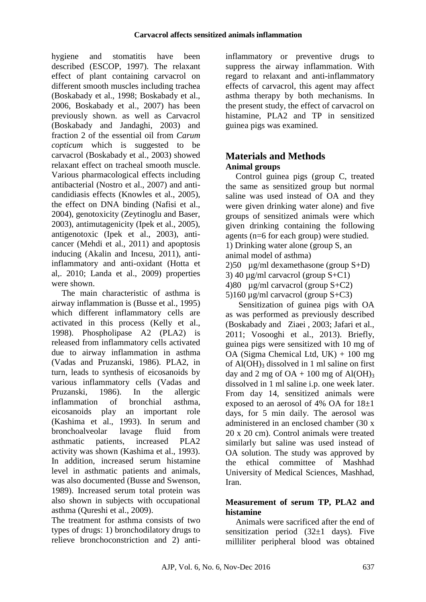hygiene and stomatitis have been described (ESCOP, 1997). The relaxant effect of plant containing carvacrol on different smooth muscles including trachea (Boskabady et al., 1998; Boskabady et al., 2006, Boskabady et al., 2007) has been previously shown. as well as Carvacrol (Boskabady and Jandaghi, 2003) and fraction 2 of the essential oil from *Carum copticum* which is suggested to be carvacrol (Boskabady et al., 2003) showed relaxant effect on tracheal smooth muscle. Various pharmacological effects including antibacterial (Nostro et al., 2007) and anticandidiasis effects (Knowles et al., 2005), the effect on DNA binding (Nafisi et al., 2004), genotoxicity (Zeytinoglu and Baser, 2003), antimutagenicity (Ipek et al., 2005), antigenotoxic [\(Ipek](http://www.springerlink.com/content/?Author=Evrim+%c4%b0pek) et al., 2003), anticancer (Mehdi et al., 2011) and apoptosis inducing (Akalin and Incesu, 2011), antiinflammatory and anti-oxidant (Hotta et al,. 2010; Landa et al., 2009) properties were shown.

The main characteristic of asthma is airway inflammation is (Busse et al., 1995) which different inflammatory cells are activated in this process (Kelly et al., 1998). Phospholipase A2 (PLA2) is released from inflammatory cells activated due to airway inflammation in asthma (Vadas and Pruzanski, 1986). PLA2, in turn, leads to synthesis of eicosanoids by various inflammatory cells (Vadas and Pruzanski, 1986). In the allergic inflammation of bronchial asthma, eicosanoids play an important role (Kashima et al., 1993). In serum and bronchoalveolar lavage fluid from asthmatic patients, increased PLA2 activity was shown (Kashima et al., 1993). In addition, increased serum histamine level in asthmatic patients and animals, was also documented (Busse and Swenson, 1989). Increased serum total protein was also shown in subjects with occupational asthma (Qureshi et al., 2009).

The treatment for asthma consists of two types of drugs: 1) bronchodilatory drugs to relieve bronchoconstriction and 2) anti-

inflammatory or preventive drugs to suppress the airway inflammation. With regard to relaxant and anti-inflammatory effects of carvacrol, this agent may affect asthma therapy by both mechanisms. In the present study, the effect of carvacrol on histamine, PLA2 and TP in sensitized guinea pigs was examined.

# **Materials and Methods Animal groups**

Control guinea pigs (group C, treated the same as sensitized group but normal saline was used instead of OA and they were given drinking water alone) and five groups of sensitized animals were which given drinking containing the following agents (n=6 for each group) were studied. 1) Drinking water alone (group S, an animal model of asthma) 2)50 µg/ml dexamethasone (group S+D) 3) 40  $\mu$ g/ml carvacrol (group S+C1) 4)80  $\mu$ g/ml carvacrol (group S+C2) 5)160 µg/ml carvacrol (group S+C3)

Sensitization of guinea pigs with OA as was performed as previously described (Boskabady and Ziaei , 2003; Jafari et al., 2011; Vosooghi et al., 2013). Briefly, guinea pigs were sensitized with 10 mg of OA (Sigma Chemical Ltd, UK) + 100 mg of  $AI(OH)$ <sub>3</sub> dissolved in 1 ml saline on first day and 2 mg of  $OA + 100$  mg of  $Al(OH)_{3}$ dissolved in 1 ml saline i.p. one week later. From day 14, sensitized animals were exposed to an aerosol of  $4\%$  OA for  $18\pm1$ days, for 5 min daily. The aerosol was administered in an enclosed chamber (30 x 20 x 20 cm). Control animals were treated similarly but saline was used instead of OA solution. The study was approved by the ethical committee of Mashhad University of Medical Sciences, Mashhad, Iran.

## **Measurement of serum TP, PLA2 and histamine**

Animals were sacrificed after the end of sensitization period  $(32\pm 1$  days). Five milliliter peripheral blood was obtained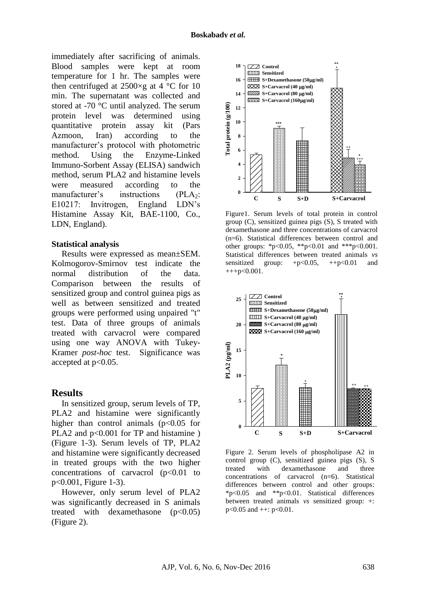immediately after sacrificing of animals. Blood samples were kept at room temperature for 1 hr. The samples were then centrifuged at  $2500 \times g$  at 4 °C for 10 min. The supernatant was collected and stored at -70 °C until analyzed. The serum protein level was determined using quantitative protein assay kit (Pars Azmoon, Iran) according to the manufacturer's protocol with photometric method. Using the Enzyme-Linked Immuno-Sorbent Assay (ELISA) sandwich method, serum PLA2 and histamine levels were measured according to the manufacturer's instructions  $(PLA_2)$ : E10217: Invitrogen, England LDN's Histamine Assay Kit, BAE-1100, Co., LDN, England).

#### **Statistical analysis**

Results were expressed as mean±SEM. Kolmogorov-Smirnov test indicate the normal distribution of the data. Comparison between the results of sensitized group and control guinea pigs as well as between sensitized and treated groups were performed using unpaired "t" test. Data of three groups of animals treated with carvacrol were compared using one way ANOVA with Tukey-Kramer *post-hoc* test. Significance was accepted at  $p<0.05$ .

### **Results**

In sensitized group, serum levels of TP, PLA2 and histamine were significantly higher than control animals  $(p<0.05$  for PLA2 and  $p<0.001$  for TP and histamine ) (Figure 1-3). Serum levels of TP, PLA2 and histamine were significantly decreased in treated groups with the two higher concentrations of carvacrol  $(p<0.01$  to p<0.001, Figure 1-3).

However, only serum level of PLA2 was significantly decreased in S animals treated with dexamethasone  $(p<0.05)$ (Figure 2).



Figure1. Serum levels of total protein in control group (C), sensitized guinea pigs (S), S treated with dexamethasone and three concentrations of carvacrol (n=6). Statistical differences between control and other groups: \*p<0.05, \*\*p<0.01 and \*\*\*p<0.001. Statistical differences between treated animals *vs*  sensitized group:  $+p<0.05$ ,  $++p<0.01$  and  $+++p<0.001$ .



Figure 2. Serum levels of phospholipase A2 in control group (C), sensitized guinea pigs (S), S treated with dexamethasone and three concentrations of carvacrol (n=6). Statistical differences between control and other groups: \*p<0.05 and \*\*p<0.01. Statistical differences between treated animals *vs* sensitized group: +:  $p<0.05$  and  $++: p<0.01$ .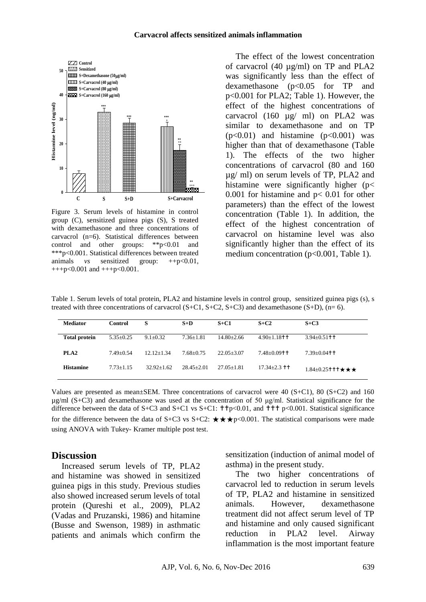

Figure 3. Serum levels of histamine in control group (C), sensitized guinea pigs (S), S treated with dexamethasone and three concentrations of carvacrol (n=6). Statistical differences between control and other groups: \*\*p<0.01 and \*\*\*p<0.001. Statistical differences between treated animals *vs* sensitized group: ++p<0.01,  $+++p<0.001$  and  $+++p<0.001$ .

The effect of the lowest concentration of carvacrol (40 µg/ml) on TP and PLA2 was significantly less than the effect of dexamethasone (p<0.05 for TP and p<0.001 for PLA2; Table 1). However, the effect of the highest concentrations of carvacrol (160 µg/ ml) on PLA2 was similar to dexamethasone and on TP  $(p<0.01)$  and histamine  $(p<0.001)$  was higher than that of dexamethasone (Table 1). The effects of the two higher concentrations of carvacrol (80 and 160 µg/ ml) on serum levels of TP, PLA2 and histamine were significantly higher (p< 0.001 for histamine and  $p < 0.01$  for other parameters) than the effect of the lowest concentration (Table 1). In addition, the effect of the highest concentration of carvacrol on histamine level was also significantly higher than the effect of its medium concentration (p<0.001, Table 1).

Table 1. Serum levels of total protein, PLA2 and histamine levels in control group, sensitized guinea pigs (s), s treated with three concentrations of carvacrol  $(S+C1, S+C2, S+C3)$  and dexamethasone  $(S+D)$ ,  $(n=6)$ .

| <b>Mediator</b>      | <b>Control</b> | S              | $S+D$          | $S + C1$       | $S + C2$                    | $S+C3$                                  |
|----------------------|----------------|----------------|----------------|----------------|-----------------------------|-----------------------------------------|
| <b>Total protein</b> | $5.35+0.25$    | $9.1 + 0.32$   | $7.36 + 1.81$  | $14.80 + 2.66$ | $4.90 + 1.18$ <sup>++</sup> | $3.94 + 0.51$ + +                       |
| PLA <sub>2</sub>     | $7.49 + 0.54$  | $12.12 + 1.34$ | $7.68 + 0.75$  | $22.05 + 3.07$ | $7.48 + 0.09$ + $+$         | $7.39+0.04$ + +                         |
| <b>Histamine</b>     | $7.73 + 1.15$  | $32.92 + 1.62$ | $28.45 + 2.01$ | $27.05 + 1.81$ | $17.34 + 2.3$ + +           | $1.84\pm0.25$ t t t $\star \star \star$ |

Values are presented as mean±SEM. Three concentrations of carvacrol were 40 (S+C1), 80 (S+C2) and 160  $\mu$ g/ml (S+C3) and dexamethasone was used at the concentration of 50  $\mu$ g/ml. Statistical significance for the difference between the data of S+C3 and S+C1 vs S+C1:  $\text{tfp} < 0.01$ , and  $\text{tft} > 0.001$ . Statistical significance for the difference between the data of S+C3 vs S+C2:  $\star \star \star p \le 0.001$ . The statistical comparisons were made using ANOVA with Tukey- Kramer multiple post test.

### **Discussion**

Increased serum levels of TP, PLA2 and histamine was showed in sensitized guinea pigs in this study. Previous studies also showed increased serum levels of total protein (Qureshi et al., 2009), PLA2 (Vadas and Pruzanski, 1986) and hitamine (Busse and Swenson, 1989) in asthmatic patients and animals which confirm the

sensitization (induction of animal model of asthma) in the present study.

The two higher concentrations of carvacrol led to reduction in serum levels of TP, PLA2 and histamine in sensitized animals. However, dexamethasone treatment did not affect serum level of TP and histamine and only caused significant reduction in PLA2 level. Airway inflammation is the most important feature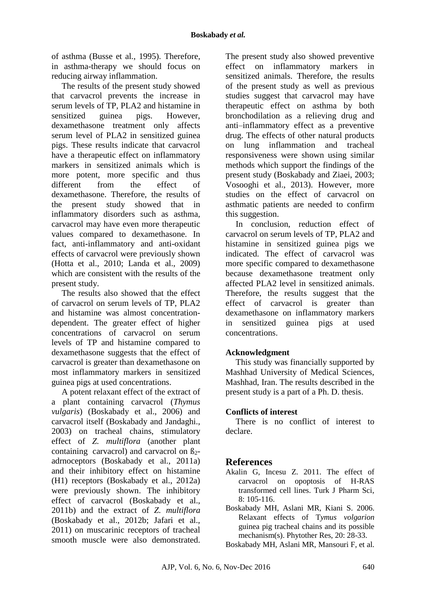of asthma (Busse et al., 1995). Therefore, in asthma-therapy we should focus on reducing airway inflammation.

The results of the present study showed that carvacrol prevents the increase in serum levels of TP, PLA2 and histamine in sensitized guinea pigs. However, dexamethasone treatment only affects serum level of PLA2 in sensitized guinea pigs. These results indicate that carvacrol have a therapeutic effect on inflammatory markers in sensitized animals which is more potent, more specific and thus different from the effect of dexamethasone. Therefore, the results of the present study showed that in inflammatory disorders such as asthma, carvacrol may have even more therapeutic values compared to dexamethasone. In fact, anti-inflammatory and anti-oxidant effects of carvacrol were previously shown (Hotta et al., 2010; Landa et al., 2009) which are consistent with the results of the present study.

The results also showed that the effect of carvacrol on serum levels of TP, PLA2 and histamine was almost concentrationdependent. The greater effect of higher concentrations of carvacrol on serum levels of TP and histamine compared to dexamethasone suggests that the effect of carvacrol is greater than dexamethasone on most inflammatory markers in sensitized guinea pigs at used concentrations.

A potent relaxant effect of the extract of a plant containing carvacrol (*Thymus vulgaris*) (Boskabady et al., 2006) and carvacrol itself (Boskabady and Jandaghi., 2003) on tracheal chains, stimulatory effect of *Z. multiflora* (another plant containing carvacrol) and carvacrol on  $\beta$ <sub>2</sub>adrnoceptors (Boskabady et al., 2011a) and their inhibitory effect on histamine (H1) receptors (Boskabady et al., 2012a) were previously shown. The inhibitory effect of carvacrol (Boskabady et al., 2011b) and the extract of *Z. multiflora*  (Boskabady et al., 2012b; Jafari et al., 2011) on muscarinic receptors of tracheal smooth muscle were also demonstrated.

The present study also showed preventive effect on inflammatory markers in sensitized animals. Therefore, the results of the present study as well as previous studies suggest that carvacrol may have therapeutic effect on asthma by both bronchodilation as a relieving drug and anti–inflammatory effect as a preventive drug. The effects of other natural products on lung inflammation and tracheal responsiveness were shown using similar methods which support the findings of the present study (Boskabady and Ziaei, 2003; Vosooghi et al., 2013). However, more studies on the effect of carvacrol on asthmatic patients are needed to confirm this suggestion.

In conclusion, reduction effect of carvacrol on serum levels of TP, PLA2 and histamine in sensitized guinea pigs we indicated. The effect of carvacrol was more specific compared to dexamethasone because dexamethasone treatment only affected PLA2 level in sensitized animals. Therefore, the results suggest that the effect of carvacrol is greater than dexamethasone on inflammatory markers in sensitized guinea pigs at used concentrations.

## **Acknowledgment**

This study was financially supported by Mashhad University of Medical Sciences, Mashhad, Iran. The results described in the present study is a part of a Ph. D. thesis.

### **Conflicts of interest**

There is no conflict of interest to declare.

## **References**

- Akalin G, Incesu Z. 2011. The effect of carvacrol on opoptosis of H-RAS transformed cell lines. Turk J Pharm Sci,  $8:105-116$
- Boskabady MH, Aslani MR, Kiani S. 2006. Relaxant effects of T*ymus volgarion* guinea pig tracheal chains and its possible mechanism(s). Phytother Res, 20: 28-33.
- Boskabady MH, Aslani MR, Mansouri F, et al.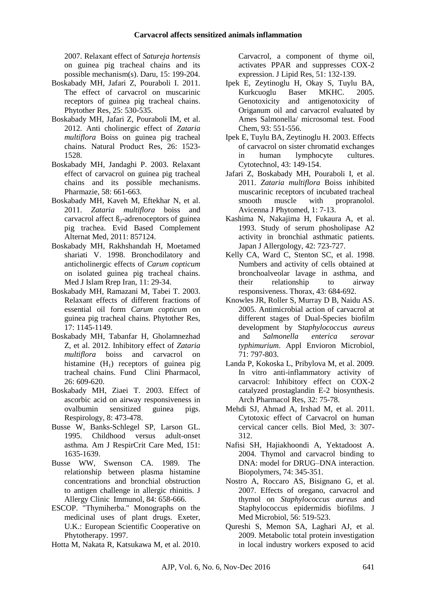2007. Relaxant effect of *Satureja hortensis* on guinea pig tracheal chains and its possible mechanism(s). Daru, 15: 199-204.

- Boskabady MH, Jafari Z, Pouraboli I. 2011. The effect of carvacrol on muscarinic receptors of guinea pig tracheal chains. Phytother Res, 25: 530-535.
- Boskabady MH, Jafari Z, Pouraboli IM, et al. 2012. Anti cholinergic effect of *Zataria multiflora* Boiss on guinea pig tracheal chains. Natural Product Res, 26: 1523- 1528.
- Boskabady MH, Jandaghi P. 2003. Relaxant effect of carvacrol on guinea pig tracheal chains and its possible mechanisms. Pharmazie, 58: 661-663.
- Boskabady MH, Kaveh M, Eftekhar N, et al. 2011. *Zataria multiflora* boiss and carvacrol affect  $\beta_2$ -adrenoceptors of guinea pig trachea. Evid Based Complement Alternat Med, 2011: 857124.
- Boskabady MH, Rakhshandah H, Moetamed shariati V. 1998. Bronchodilatory and anticholinergic effects of *Carum copticum* on isolated guinea pig tracheal chains. Med J Islam Rrep Iran, 11: 29-34.
- Boskabady MH, Ramazani M, Tabei T. 2003. Relaxant effects of different fractions of essential oil form *Carum copticum* on guinea pig tracheal chains. Phytother Res, 17: 1145-1149.
- Boskabady MH, Tabanfar H, Gholamnezhad Z, et al. 2012. Inhibitory effect of *Zataria multiflora* boiss and carvacrol on histamine  $(H_1)$  receptors of guinea pig tracheal chains. Fund Clini Pharmacol,  $26.609-620.$
- Boskabady MH, Ziaei T. 2003. Effect of ascorbic acid on airway responsiveness in ovalbumin sensitized guinea pigs. Respirology, 8: 473-478.
- Busse W, Banks-Schlegel SP, Larson GL. 1995. Childhood versus adult-onset asthma*.* Am J RespirCrit Care Med, 151: 1635-1639.
- Busse WW, Swenson CA. 1989. The relationship between plasma histamine concentrations and bronchial obstruction to antigen challenge in allergic rhinitis. J Allergy Clinic Immunol, 84: 658-666.
- ESCOP. "Thymiherba." Monographs on the medicinal uses of plant drugs. Exeter, U.K.: European Scientific Cooperative on Phytotherapy. 1997.
- Hotta M, Nakata R, Katsukawa M, et al. 2010.

Carvacrol, a component of thyme oil, activates PPAR and suppresses COX-2 expression. J Lipid Res, 51: 132-139.

- Ipek E, Zeytinoglu H, Okay S, Tuylu BA, Kurkcuoglu Baser MKHC. 2005. Genotoxicity and antigenotoxicity of Origanum oil and carvacrol evaluated by Ames Salmonella/ microsomal test. [Food](http://www.sciencedirect.com/science/journal/03088146) [Chem,](http://www.sciencedirect.com/science/journal/03088146) 93: 551-556.
- [Ipek](http://www.springerlink.com/content/?Author=Evrim+%c4%b0pek) E, [Tuylu](http://www.springerlink.com/content/?Author=Berrin+Ayaz+T%c3%bcyl%c3%bc) BA, [Zeytinoglu](http://www.springerlink.com/content/?Author=H%c3%bclya+Zeytino%c4%9flu) H. 2003. Effects of carvacrol on sister chromatid exchanges in human lymphocyte cultures. [Cytotechnol,](http://www.springerlink.com/content/0920-9069/) 43: 149-154.
- Jafari Z, Boskabady MH, Pouraboli I, et al. 2011. *Zataria multiflora* Boiss inhibited muscarinic receptors of incubated tracheal smooth muscle with propranolol. Avicenna J Phytomed, 1: 7-13.
- Kashima N, Nakajima H, Fukaura A, et al. 1993. Study of serum phosholipase A2 activity in bronchial asthmatic patients. Japan J Allergology, 42: 723-727.
- Kelly CA, Ward C, Stenton SC, et al. 1998. Numbers and activity of cells obtained at bronchoalveolar lavage in asthma, and their relationship to airway responsiveness. Thorax, 43: 684-692.
- Knowles JR, Roller S, Murray D B, Naidu AS. 2005. Antimicrobial action of carvacrol at different stages of Dual-Species biofilm development by S*taphylococcus aureus* and *Salmonella enterica serovar typhimurium*. Appl Envioron Microbiol, 71: 797-803.
- Landa P, Kokoska L, Pribylova M, et al. 2009. In vitro anti-inflammatory activity of carvacrol: Inhibitory effect on COX-2 catalyzed prostaglandin E-2 biosynthesis. Arch Pharmacol Res, 32: 75-78.
- Mehdi SJ, Ahmad A, Irshad M, et al. 2011. Cytotoxic effect of Carvacrol on human cervical cancer cells. Biol Med, 3: 307- 312.
- Nafisi SH, Hajiakhoondi A, Yektadoost A. 2004. Thymol and carvacrol binding to DNA: model for DRUG–DNA interaction*.* Biopolymers, 74: 345-351.
- Nostro A, Roccaro AS, Bisignano G, et al. 2007. Effects of oregano, carvacrol and thymol on *Staphylococcus aureus* and Staphylococcus epidermidis biofilms. J Med Microbiol, 56: 519-523.
- Qureshi S, Memon SA, Laghari AJ, et al. 2009. Metabolic total protein investigation in local industry workers exposed to acid